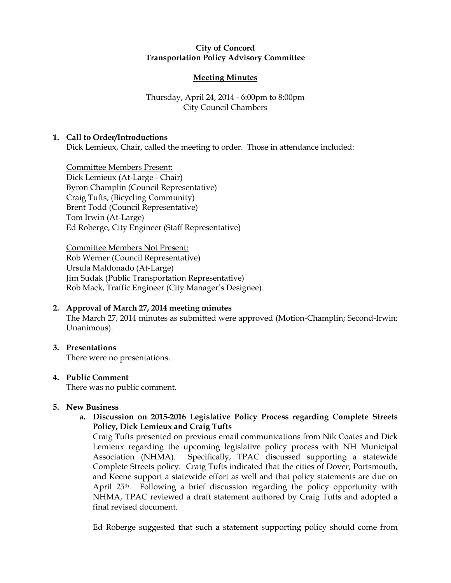#### City of Concord Transportation Policy Advisory Committee

# Meeting Minutes

## Thursday, April 24, 2014 - 6:00pm to 8:00pm City Council Chambers

## 1. Call to Order/Introductions

Dick Lemieux, Chair, called the meeting to order. Those in attendance included:

Committee Members Present: Dick Lemieux (At-Large - Chair) Byron Champlin (Council Representative) Craig Tufts, (Bicycling Community) Brent Todd (Council Representative) Tom Irwin (At-Large) Ed Roberge, City Engineer (Staff Representative)

Committee Members Not Present: Rob Werner (Council Representative) Ursula Maldonado (At-Large) Jim Sudak (Public Transportation Representative) Rob Mack, Traffic Engineer (City Manager's Designee)

## 2. Approval of March 27, 2014 meeting minutes

The March 27, 2014 minutes as submitted were approved (Motion-Champlin; Second-Irwin; Unanimous).

#### 3. Presentations

There were no presentations.

#### 4. Public Comment

There was no public comment.

#### 5. New Business

a. Discussion on 2015-2016 Legislative Policy Process regarding Complete Streets Policy, Dick Lemieux and Craig Tufts

Craig Tufts presented on previous email communications from Nik Coates and Dick Lemieux regarding the upcoming legislative policy process with NH Municipal Association (NHMA). Specifically, TPAC discussed supporting a statewide Complete Streets policy. Craig Tufts indicated that the cities of Dover, Portsmouth, and Keene support a statewide effort as well and that policy statements are due on April  $25<sup>th</sup>$ . Following a brief discussion regarding the policy opportunity with NHMA, TPAC reviewed a draft statement authored by Craig Tufts and adopted a final revised document.

Ed Roberge suggested that such a statement supporting policy should come from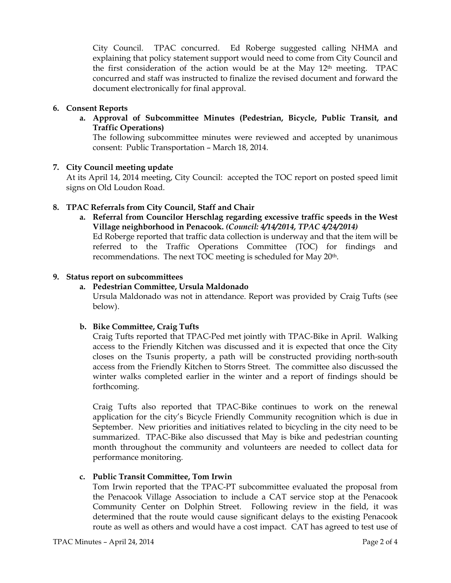City Council. TPAC concurred. Ed Roberge suggested calling NHMA and explaining that policy statement support would need to come from City Council and the first consideration of the action would be at the May  $12<sup>th</sup>$  meeting. TPAC concurred and staff was instructed to finalize the revised document and forward the document electronically for final approval.

## 6. Consent Reports

a. Approval of Subcommittee Minutes (Pedestrian, Bicycle, Public Transit, and Traffic Operations)

The following subcommittee minutes were reviewed and accepted by unanimous consent: Public Transportation – March 18, 2014.

## 7. City Council meeting update

At its April 14, 2014 meeting, City Council: accepted the TOC report on posted speed limit signs on Old Loudon Road.

## 8. TPAC Referrals from City Council, Staff and Chair

a. Referral from Councilor Herschlag regarding excessive traffic speeds in the West Village neighborhood in Penacook. (Council: 4/14/2014, TPAC 4/24/2014)

Ed Roberge reported that traffic data collection is underway and that the item will be referred to the Traffic Operations Committee (TOC) for findings and recommendations. The next TOC meeting is scheduled for May 20<sup>th</sup>.

#### 9. Status report on subcommittees

## a. Pedestrian Committee, Ursula Maldonado

Ursula Maldonado was not in attendance. Report was provided by Craig Tufts (see below).

## b. Bike Committee, Craig Tufts

Craig Tufts reported that TPAC-Ped met jointly with TPAC-Bike in April. Walking access to the Friendly Kitchen was discussed and it is expected that once the City closes on the Tsunis property, a path will be constructed providing north-south access from the Friendly Kitchen to Storrs Street. The committee also discussed the winter walks completed earlier in the winter and a report of findings should be forthcoming.

Craig Tufts also reported that TPAC-Bike continues to work on the renewal application for the city's Bicycle Friendly Community recognition which is due in September. New priorities and initiatives related to bicycling in the city need to be summarized. TPAC-Bike also discussed that May is bike and pedestrian counting month throughout the community and volunteers are needed to collect data for performance monitoring.

## c. Public Transit Committee, Tom Irwin

Tom Irwin reported that the TPAC-PT subcommittee evaluated the proposal from the Penacook Village Association to include a CAT service stop at the Penacook Community Center on Dolphin Street. Following review in the field, it was determined that the route would cause significant delays to the existing Penacook route as well as others and would have a cost impact. CAT has agreed to test use of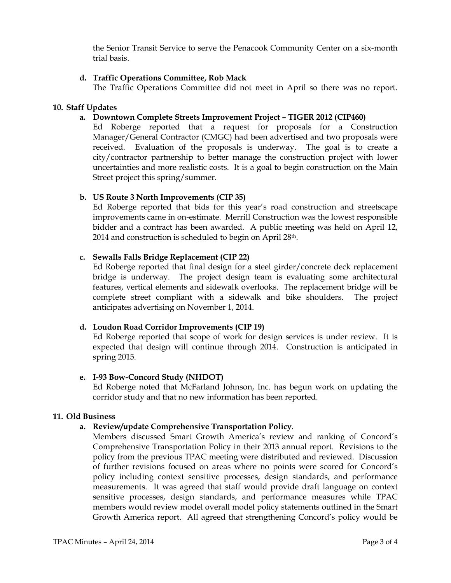the Senior Transit Service to serve the Penacook Community Center on a six-month trial basis.

#### d. Traffic Operations Committee, Rob Mack

The Traffic Operations Committee did not meet in April so there was no report.

#### 10. Staff Updates

#### a. Downtown Complete Streets Improvement Project – TIGER 2012 (CIP460)

Ed Roberge reported that a request for proposals for a Construction Manager/General Contractor (CMGC) had been advertised and two proposals were received. Evaluation of the proposals is underway. The goal is to create a city/contractor partnership to better manage the construction project with lower uncertainties and more realistic costs. It is a goal to begin construction on the Main Street project this spring/summer.

## b. US Route 3 North Improvements (CIP 35)

Ed Roberge reported that bids for this year's road construction and streetscape improvements came in on-estimate. Merrill Construction was the lowest responsible bidder and a contract has been awarded. A public meeting was held on April 12, 2014 and construction is scheduled to begin on April 28<sup>th</sup>.

#### c. Sewalls Falls Bridge Replacement (CIP 22)

Ed Roberge reported that final design for a steel girder/concrete deck replacement bridge is underway. The project design team is evaluating some architectural features, vertical elements and sidewalk overlooks. The replacement bridge will be complete street compliant with a sidewalk and bike shoulders. The project anticipates advertising on November 1, 2014.

#### d. Loudon Road Corridor Improvements (CIP 19)

Ed Roberge reported that scope of work for design services is under review. It is expected that design will continue through 2014. Construction is anticipated in spring 2015.

#### e. I-93 Bow-Concord Study (NHDOT)

Ed Roberge noted that McFarland Johnson, Inc. has begun work on updating the corridor study and that no new information has been reported.

#### 11. Old Business

## a. Review/update Comprehensive Transportation Policy.

Members discussed Smart Growth America's review and ranking of Concord's Comprehensive Transportation Policy in their 2013 annual report. Revisions to the policy from the previous TPAC meeting were distributed and reviewed. Discussion of further revisions focused on areas where no points were scored for Concord's policy including context sensitive processes, design standards, and performance measurements. It was agreed that staff would provide draft language on context sensitive processes, design standards, and performance measures while TPAC members would review model overall model policy statements outlined in the Smart Growth America report. All agreed that strengthening Concord's policy would be